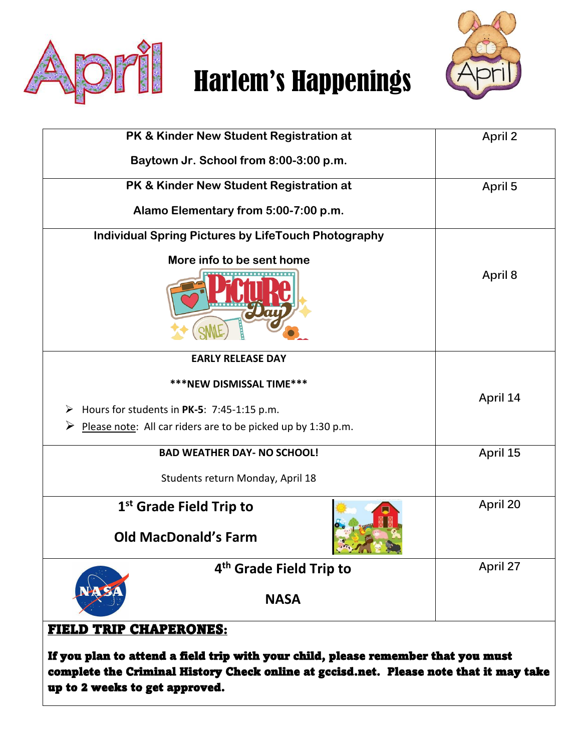

# **Film** Harlem's Happenings



| PK & Kinder New Student Registration at                                                                            | April 2  |
|--------------------------------------------------------------------------------------------------------------------|----------|
| Baytown Jr. School from 8:00-3:00 p.m.                                                                             |          |
| PK & Kinder New Student Registration at                                                                            | April 5  |
| Alamo Elementary from 5:00-7:00 p.m.                                                                               |          |
| <b>Individual Spring Pictures by LifeTouch Photography</b>                                                         |          |
| More info to be sent home                                                                                          | April 8  |
| <b>EARLY RELEASE DAY</b>                                                                                           |          |
| ***NEW DISMISSAL TIME***                                                                                           |          |
| Hours for students in PK-5: 7:45-1:15 p.m.<br>➤                                                                    | April 14 |
| ➤<br>Please note: All car riders are to be picked up by 1:30 p.m.                                                  |          |
| <b>BAD WEATHER DAY- NO SCHOOL!</b>                                                                                 | April 15 |
| Students return Monday, April 18                                                                                   |          |
| 1 <sup>st</sup> Grade Field Trip to<br><b>Old MacDonald's Farm</b>                                                 | April 20 |
| <b>CONTRACTOR</b> COMMENT                                                                                          | April 27 |
| 4 <sup>th</sup> Grade Field Trip to<br><b>NASA</b>                                                                 |          |
| <b>FIELD TRIP CHAPERONES:</b><br>If you plan to attend a field trip with your child, please remember that you must |          |

complete the Criminal History Check online at gccisd.net. Please note that it may take up to 2 weeks to get approved.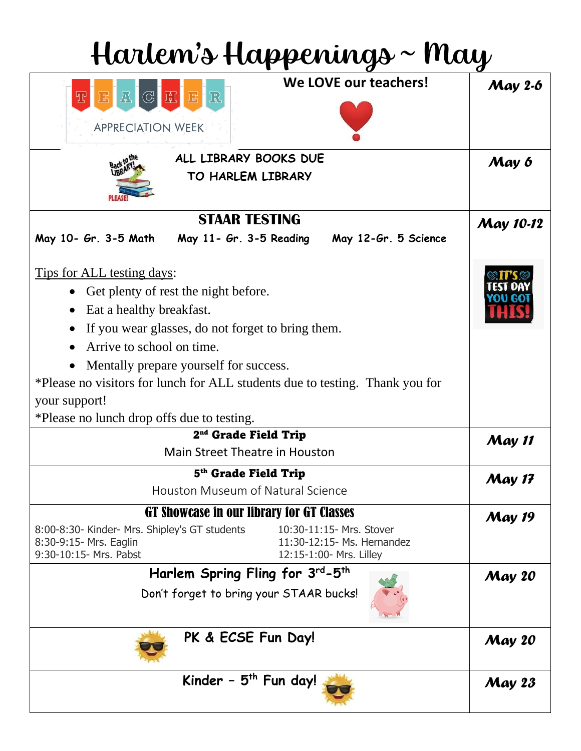| Harlem's Happenings ~ May                                                                                                                                                                                                                                                                                                                                                                                  |                  |  |
|------------------------------------------------------------------------------------------------------------------------------------------------------------------------------------------------------------------------------------------------------------------------------------------------------------------------------------------------------------------------------------------------------------|------------------|--|
| We LOVE our teachers!<br>TEACHER<br><b>APPRECIATION WEEK</b>                                                                                                                                                                                                                                                                                                                                               | <b>May 2-6</b>   |  |
| ALL LIBRARY BOOKS DUE<br>TO HARLEM LIBRARY                                                                                                                                                                                                                                                                                                                                                                 | May 6            |  |
| <b>STAAR TESTING</b><br>May 11- Gr. 3-5 Reading<br>May 10- Gr. 3-5 Math<br>May 12-Gr. 5 Science                                                                                                                                                                                                                                                                                                            | <b>May 10-12</b> |  |
| <u>Tips for ALL testing days:</u><br>Get plenty of rest the night before.<br>$\bullet$<br>Eat a healthy breakfast.<br>If you wear glasses, do not forget to bring them.<br>Arrive to school on time.<br>$\bullet$<br>Mentally prepare yourself for success.<br>*Please no visitors for lunch for ALL students due to testing. Thank you for<br>your support!<br>*Please no lunch drop offs due to testing. |                  |  |
| 2 <sup>nd</sup> Grade Field Trip<br>Main Street Theatre in Houston                                                                                                                                                                                                                                                                                                                                         | <b>May 11</b>    |  |
| 5 <sup>th</sup> Grade Field Trip<br>Houston Museum of Natural Science                                                                                                                                                                                                                                                                                                                                      | <b>May 17</b>    |  |
| GT Showcase in our library for GT Classes<br>8:00-8:30- Kinder- Mrs. Shipley's GT students<br>10:30-11:15- Mrs. Stover<br>11:30-12:15- Ms. Hernandez<br>8:30-9:15- Mrs. Eaglin<br>9:30-10:15- Mrs. Pabst<br>12:15-1:00- Mrs. Lilley                                                                                                                                                                        | <b>May 19</b>    |  |
| Harlem Spring Fling for 3rd-5th<br>Don't forget to bring your STAAR bucks!                                                                                                                                                                                                                                                                                                                                 | <b>May 20</b>    |  |
| PK & ECSE Fun Day!                                                                                                                                                                                                                                                                                                                                                                                         | <b>May 20</b>    |  |
| Kinder - $5th$ Fun day!                                                                                                                                                                                                                                                                                                                                                                                    | <b>May 23</b>    |  |